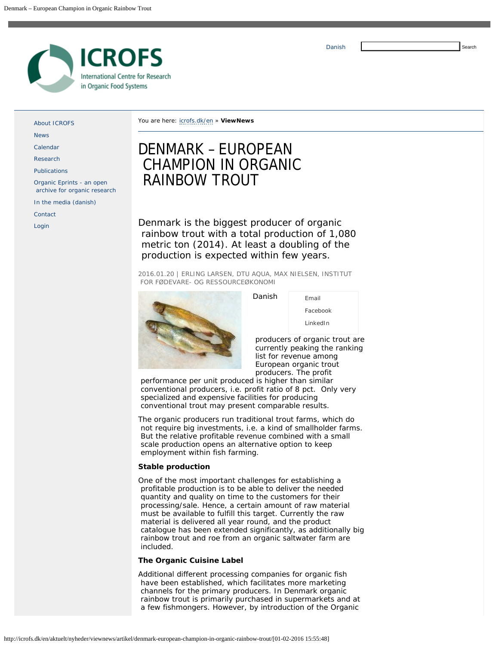

[About ICROFS](http://icrofs.dk/en/about-icrofs/)

[News](http://icrofs.dk/en/news/)

[Calendar](http://icrofs.dk/en/calendar/)

[Research](http://icrofs.dk/en/research/)

[Publications](http://icrofs.dk/en/publications/)

[Organic Eprints - an open](http://icrofs.dk/en/organic-eprints-an-open-archive-for-organic-research/)  [archive for organic research](http://icrofs.dk/en/organic-eprints-an-open-archive-for-organic-research/)

[In the media \(danish\)](http://icrofs.dk/en/in-the-media-danish/)

**[Contact](http://icrofs.dk/en/contact/)** 

[Login](http://icrofs.dk/en/login/)

You are here: [icrofs.dk/en](http://icrofs.dk/en) » **ViewNews**

# DENMARK – EUROPEAN CHAMPION IN ORGANIC RAINBOW TROUT

Denmark is the biggest producer of organic rainbow trout with a total production of 1,080 metric ton (2014). At least a doubling of the production is expected within few years.

2016.01.20 | ERLING LARSEN, DTU AQUA, MAX NIELSEN, INSTITUT FOR FØDEVARE- OG RESSOURCEØKONOMI

Danish



| Email     |
|-----------|
| Facebook  |
| l inkedIn |

 producers of organic trout are currently peaking the ranking list for revenue among European organic trout producers. The profit

 performance per unit produced is higher than similar conventional producers, i.e. profit ratio of 8 pct. Only very specialized and expensive facilities for producing conventional trout may present comparable results.

The organic producers run traditional trout farms, which do not require big investments, i.e. a kind of smallholder farms. But the relative profitable revenue combined with a small scale production opens an alternative option to keep employment within fish farming.

### **Stable production**

One of the most important challenges for establishing a profitable production is to be able to deliver the needed quantity and quality on time to the customers for their processing/sale. Hence, a certain amount of raw material must be available to fulfill this target. Currently the raw material is delivered all year round, and the product catalogue has been extended significantly, as additionally big rainbow trout and roe from an organic saltwater farm are included.

# **The Organic Cuisine Label**

Additional different processing companies for organic fish have been established, which facilitates more marketing channels for the primary producers. In Denmark organic rainbow trout is primarily purchased in supermarkets and at a few fishmongers. However, by introduction of the Organic

http://icrofs.dk/en/aktuelt/nyheder/viewnews/artikel/denmark-european-champion-in-organic-rainbow-trout/[01-02-2016 15:55:48]

Search

[Danish](http://icrofs.dk/aktuelt/nyheder/nyhed/artikel/denmark-european-champion-in-organic-rainbow-trout/)